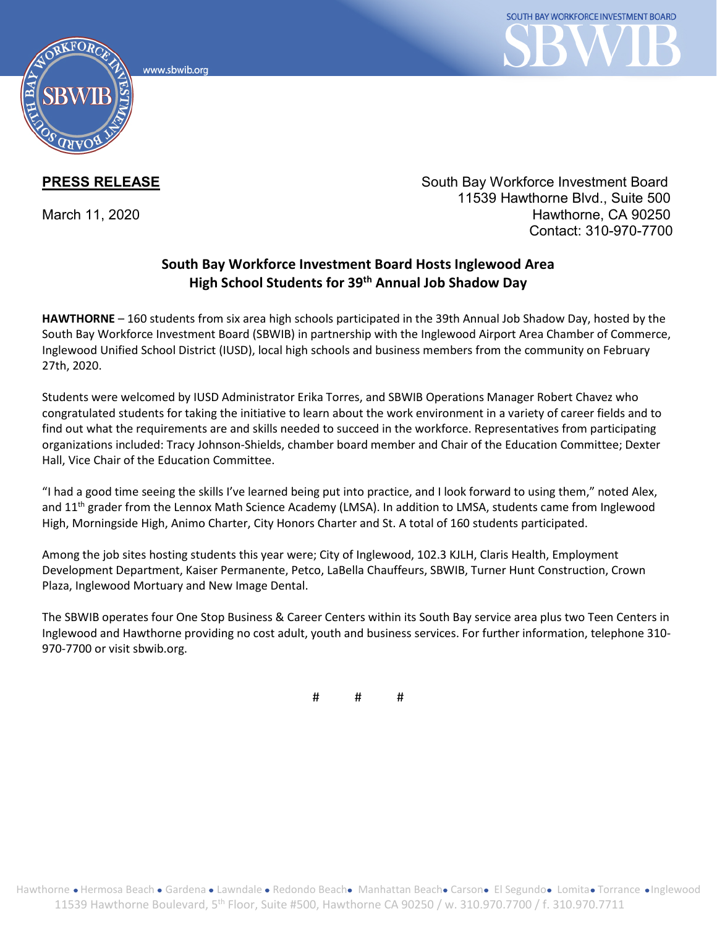www.sbwib.orc



**PRESS RELEASE** South Bay Workforce Investment Board 11539 Hawthorne Blvd., Suite 500 March 11, 2020 **Hawthorne**, CA 90250 Contact: 310-970-7700

## **South Bay Workforce Investment Board Hosts Inglewood Area High School Students for 39th Annual Job Shadow Day**

**HAWTHORNE** – 160 students from six area high schools participated in the 39th Annual Job Shadow Day, hosted by the South Bay Workforce Investment Board (SBWIB) in partnership with the Inglewood Airport Area Chamber of Commerce, Inglewood Unified School District (IUSD), local high schools and business members from the community on February 27th, 2020.

Students were welcomed by IUSD Administrator Erika Torres, and SBWIB Operations Manager Robert Chavez who congratulated students for taking the initiative to learn about the work environment in a variety of career fields and to find out what the requirements are and skills needed to succeed in the workforce. Representatives from participating organizations included: Tracy Johnson-Shields, chamber board member and Chair of the Education Committee; Dexter Hall, Vice Chair of the Education Committee.

"I had a good time seeing the skills I've learned being put into practice, and I look forward to using them," noted Alex, and 11<sup>th</sup> grader from the Lennox Math Science Academy (LMSA). In addition to LMSA, students came from Inglewood High, Morningside High, Animo Charter, City Honors Charter and St. A total of 160 students participated.

Among the job sites hosting students this year were; City of Inglewood, 102.3 KJLH, Claris Health, Employment Development Department, Kaiser Permanente, Petco, LaBella Chauffeurs, SBWIB, Turner Hunt Construction, Crown Plaza, Inglewood Mortuary and New Image Dental.

The SBWIB operates four One Stop Business & Career Centers within its South Bay service area plus two Teen Centers in Inglewood and Hawthorne providing no cost adult, youth and business services. For further information, telephone 310- 970-7700 or visit sbwib.org.

# # #